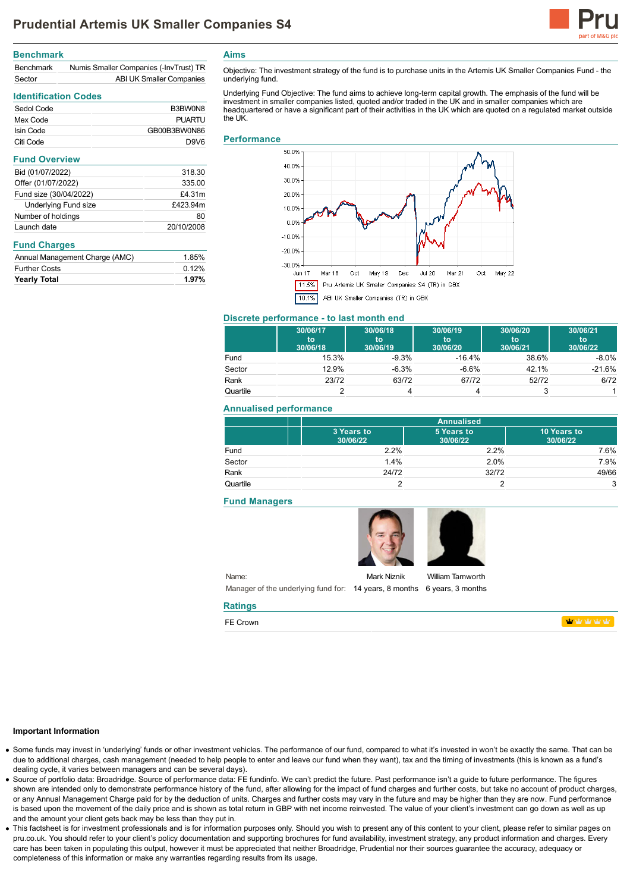

### **Benchmark**

| <b>Benchmark</b> | Numis Smaller Companies (-InvTrust) TR |
|------------------|----------------------------------------|
| Sector           | ABI UK Smaller Companies               |

# **Identification Codes**

| Sedol Code | B3BW0N8       |
|------------|---------------|
| Mex Code   | <b>PUARTU</b> |
| Isin Code  | GB00B3BW0N86  |
| Citi Code  | D9V6          |

| 318.30     |
|------------|
| 335.00     |
| £4.31m     |
| £423.94m   |
| 80         |
| 20/10/2008 |
|            |

### **Fund Charges**

| <b>Yearly Total</b>            | 1.97% |
|--------------------------------|-------|
| <b>Further Costs</b>           | 0.12% |
| Annual Management Charge (AMC) | 1.85% |

**Aims**

Objective: The investment strategy of the fund is to purchase units in the Artemis UK Smaller Companies Fund - the underlying fund.

Underlying Fund Objective: The fund aims to achieve long-term capital growth. The emphasis of the fund will be investment in smaller companies listed, quoted and/or traded in the UK and in smaller companies which are headquartered or have a significant part of their activities in the UK which are quoted on a regulated market outside the UK

#### **Performance**



## **Discrete performance - to last month end**

|          | 30/06/17<br>to<br>30/06/18 | 30/06/18<br>to<br>30/06/19 | 30/06/19<br>to<br>30/06/20 | 30/06/20<br>to<br>30/06/21 | 30/06/21<br>'to<br>30/06/22 |
|----------|----------------------------|----------------------------|----------------------------|----------------------------|-----------------------------|
| Fund     | 15.3%                      | $-9.3%$                    | $-16.4%$                   | 38.6%                      | $-8.0\%$                    |
| Sector   | 12.9%                      | $-6.3%$                    | $-6.6\%$                   | 42.1%                      | $-21.6%$                    |
| Rank     | 23/72                      | 63/72                      | 67/72                      | 52/72                      | 6/72                        |
| Quartile |                            |                            |                            |                            |                             |

### **Annualised performance**

|          | <b>Annualised</b>      |                        |                         |
|----------|------------------------|------------------------|-------------------------|
|          | 3 Years to<br>30/06/22 | 5 Years to<br>30/06/22 | 10 Years to<br>30/06/22 |
| Fund     | 2.2%                   | 2.2%                   | 7.6%                    |
| Sector   | 1.4%                   | 2.0%                   | 7.9%                    |
| Rank     | 24/72                  | 32/72                  | 49/66                   |
| Quartile |                        |                        | 3                       |

#### **Fund Managers**

**Ratings** FE Crown





Name: Manager of the underlying fund for: 14 years, 8 months 6 years, 3 months Mark Niznik

William Tamworth

**WWWW** 

### **Important Information**

- Some funds may invest in 'underlying' funds or other investment vehicles. The performance of our fund, compared to what it's invested in won't be exactly the same. That can be due to additional charges, cash management (needed to help people to enter and leave our fund when they want), tax and the timing of investments (this is known as a fund's dealing cycle, it varies between managers and can be several days).
- Source of portfolio data: Broadridge. Source of performance data: FE fundinfo. We can't predict the future. Past performance isn't a guide to future performance. The figures shown are intended only to demonstrate performance history of the fund, after allowing for the impact of fund charges and further costs, but take no account of product charges, or any Annual Management Charge paid for by the deduction of units. Charges and further costs may vary in the future and may be higher than they are now. Fund performance is based upon the movement of the daily price and is shown as total return in GBP with net income reinvested. The value of your client's investment can go down as well as up and the amount your client gets back may be less than they put in.
- This factsheet is for investment professionals and is for information purposes only. Should you wish to present any of this content to your client, please refer to similar pages on pru.co.uk. You should refer to your client's policy documentation and supporting brochures for fund availability, investment strategy, any product information and charges. Every care has been taken in populating this output, however it must be appreciated that neither Broadridge, Prudential nor their sources guarantee the accuracy, adequacy or completeness of this information or make any warranties regarding results from its usage.